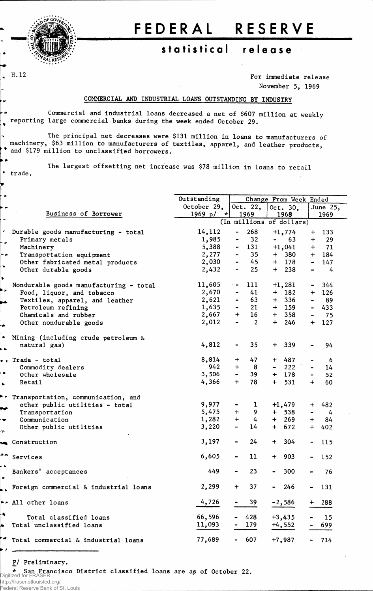

• #

trade.

H.12

## FEDERAL RESERVE

## **statistica l releas e**

For immediate release November 5, 1969

## COMMERCIAL AND INDUSTRIAL LOANS OUTSTANDING BY INDUSTRY

Commercial and industrial loans decreased a net of \$607 million at weekly reporting large commercial banks during the week ended October 29.

**\*** and \$179 million to unclassified borrowers. The principal net decreases were \$131 million in loans to manufacturers of machinery, \$63 million to manufacturers of textiles, apparel, and leather products,

The largest offsetting net increase was \$78 million in loans to retail

|                      |                                        | Outstanding        | Change From Week Ended       |                 |                          |          |                              |         |  |
|----------------------|----------------------------------------|--------------------|------------------------------|-----------------|--------------------------|----------|------------------------------|---------|--|
|                      |                                        | October 29,        | Oct. $22,$                   |                 | Oct. $30$ ,              |          | June 25,                     |         |  |
|                      | Business of Borrower                   | 1969 p/<br>$\star$ |                              | 1969            |                          | 1968     |                              | 1969    |  |
| $\overrightarrow{a}$ |                                        |                    |                              |                 | (In millions of dollars) |          |                              |         |  |
|                      |                                        |                    |                              |                 |                          |          |                              |         |  |
| $\blacktriangledown$ | Durable goods manufacturing - total    | 14,112             |                              | 268             |                          | $+1,774$ | $+$                          | 133     |  |
| . .                  | Primary metals                         | 1,985              | $\qquad \qquad \blacksquare$ | 32              | $\blacksquare$           | 63       | $+$                          | 29      |  |
|                      | Machinery                              | 5,388              |                              | $-131$          |                          | $+1,041$ | $+$                          | 71      |  |
| م با                 | Transportation equipment               | 2,277              | $\blacksquare$               | 35 <sub>2</sub> |                          | $+ 380$  | $+$                          | 184     |  |
|                      | Other fabricated metal products        | 2,030              | $\blacksquare$               | 45              |                          | $+$ 178  | $\frac{1}{2}$                | 147     |  |
| $\bullet$            | Other durable goods                    | 2,432              | $\blacksquare$               | 25 <sub>2</sub> |                          | $+$ 238  | $\blacksquare$               | 4       |  |
| $\bullet$            |                                        |                    |                              |                 |                          |          |                              |         |  |
|                      | Nondurable goods manufacturing - total | 11,605             | $\overline{\phantom{a}}$     | 111             |                          | $+1,281$ | $\bullet$ .                  | 344     |  |
|                      | Food, liquor, and tobacco              | 2,670              | $\qquad \qquad \blacksquare$ | 41              |                          | $+ 182$  |                              | $+ 126$ |  |
|                      | Textiles, apparel, and leather         | 2,621              | $\blacksquare$               | 63              |                          | $+ 336$  | $\blacksquare$               | 89      |  |
|                      | Petroleum refining                     | 1,635              | $\blacksquare$               | 21              |                          | $+$ 159  | $\blacksquare$               | 433     |  |
|                      | Chemicals and rubber                   | 2,667              | $+$                          | 16 <sup>°</sup> | $+$                      | 358      | $\blacksquare$               | 75      |  |
|                      |                                        |                    |                              | $\overline{2}$  | $+$                      | 246      |                              |         |  |
|                      | Other nondurable goods                 | 2,012              |                              |                 |                          |          | $+$                          | 127     |  |
|                      |                                        |                    |                              |                 |                          |          |                              |         |  |
|                      | Mining (including crude petroleum &    |                    |                              |                 |                          |          |                              |         |  |
|                      | natural gas)                           | 4,812              |                              | 35 <sub>1</sub> |                          | $+ 339$  |                              | 94      |  |
|                      |                                        |                    |                              |                 |                          |          |                              |         |  |
|                      | $\bullet$ , Trade - total              | 8,814              | $+$                          | 47              |                          | $+ 487$  |                              | 6       |  |
|                      | Commodity dealers                      | 942                | $+$                          | 8               | $\frac{1}{2}$            | 222      | $\blacksquare$               | 14      |  |
|                      | Other wholesale                        | 3,506              | $\sim$                       | 39              |                          | $+$ 178  | $\blacksquare$               | 52      |  |
| $\bullet$            | Retail                                 | 4,366              | $+$                          | 78              | $+$                      | 531      | $+$                          | 60      |  |
|                      |                                        |                    |                              |                 |                          |          |                              |         |  |
| ۰.                   | Transportation, communication, and     |                    |                              |                 |                          |          |                              |         |  |
|                      | other public utilities - total         | 9,977              |                              | 1               |                          | $+1,479$ | $+$ $\overline{\phantom{a}}$ | 482     |  |
|                      | Transportation                         | 5,475              | $+$                          | 9               |                          | $+ 538$  | $\qquad \qquad \blacksquare$ | 4       |  |
| ÷                    | Communication                          | 1,282              | $+$                          | $\frac{1}{4}$   |                          | $+ 269$  | $+$                          | 84      |  |
|                      | Other public utilities                 | 3,220              | $\qquad \qquad \blacksquare$ | 14              |                          | $+ 672$  |                              | $+ 402$ |  |
| $\mathcal{M}$ .      |                                        |                    |                              |                 |                          |          |                              |         |  |
|                      | Construction                           | 3,197              |                              | 24              | $+$                      | 304      |                              | 115     |  |
|                      |                                        |                    |                              |                 |                          |          |                              |         |  |
| ∸∽                   | Services                               | 6,605              |                              | 11              | $+$                      | 903      | $\blacksquare$               | 152     |  |
|                      |                                        |                    |                              |                 |                          |          |                              |         |  |
|                      | Bankers' acceptances                   | 449                |                              | 23              |                          | 300      |                              | 76      |  |
|                      |                                        |                    |                              |                 |                          |          |                              |         |  |
|                      |                                        | 2,299              | $\ddot{}$                    | 37              |                          | $-246$   |                              | 131     |  |
|                      | Foreign commercial & industrial loans  |                    |                              |                 |                          |          |                              |         |  |
|                      |                                        |                    |                              |                 |                          |          |                              |         |  |
|                      | ** All other loans                     | 4,726              |                              | 39              |                          | $-2,586$ | $+$                          | 288     |  |
| ₩.                   |                                        |                    |                              |                 |                          |          |                              |         |  |
|                      | Total classified loans                 | 66,596             |                              | 428             |                          | $+3,435$ |                              | 15      |  |
|                      | Total unclassified loans               | 11,093             |                              | 179             |                          | $+4,552$ |                              | 699     |  |
|                      |                                        |                    |                              |                 |                          |          |                              |         |  |
|                      | Total commercial & industrial loans    | 77,689             |                              | 607             |                          | $+7,987$ |                              | 714     |  |

P/ Preliminary.

\* San Francisco District classified loans are as of October 22. Digitized for FRASER

http://fraser.stlouisfed.org/ Federal Reserve Bank of St. Louis

 $\bullet$   $\star$